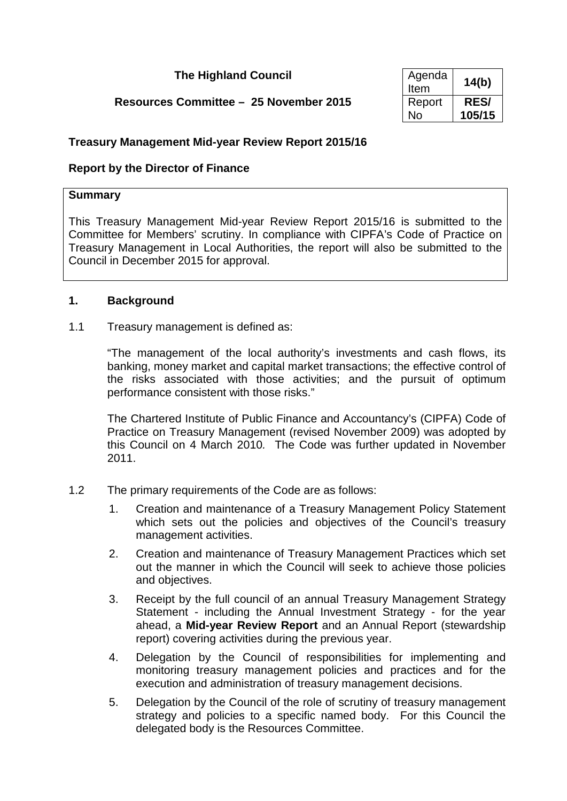# **The Highland Council**

# **Resources Committee – 25 November 2015**

| Agenda<br>Item | 14(b)       |
|----------------|-------------|
| Report         | <b>RES/</b> |
| N٥             | 105/15      |

## **Treasury Management Mid-year Review Report 2015/16**

# **Report by the Director of Finance**

### **Summary**

This Treasury Management Mid-year Review Report 2015/16 is submitted to the Committee for Members' scrutiny. In compliance with CIPFA's Code of Practice on Treasury Management in Local Authorities, the report will also be submitted to the Council in December 2015 for approval.

## **1. Background**

### 1.1 Treasury management is defined as:

"The management of the local authority's investments and cash flows, its banking, money market and capital market transactions; the effective control of the risks associated with those activities; and the pursuit of optimum performance consistent with those risks."

The Chartered Institute of Public Finance and Accountancy's (CIPFA) Code of Practice on Treasury Management (revised November 2009) was adopted by this Council on 4 March 2010*.* The Code was further updated in November 2011.

## 1.2 The primary requirements of the Code are as follows:

- 1. Creation and maintenance of a Treasury Management Policy Statement which sets out the policies and objectives of the Council's treasury management activities.
- 2. Creation and maintenance of Treasury Management Practices which set out the manner in which the Council will seek to achieve those policies and objectives.
- 3. Receipt by the full council of an annual Treasury Management Strategy Statement - including the Annual Investment Strategy - for the year ahead, a **Mid-year Review Report** and an Annual Report (stewardship report) covering activities during the previous year.
- 4. Delegation by the Council of responsibilities for implementing and monitoring treasury management policies and practices and for the execution and administration of treasury management decisions.
- 5. Delegation by the Council of the role of scrutiny of treasury management strategy and policies to a specific named body. For this Council the delegated body is the Resources Committee.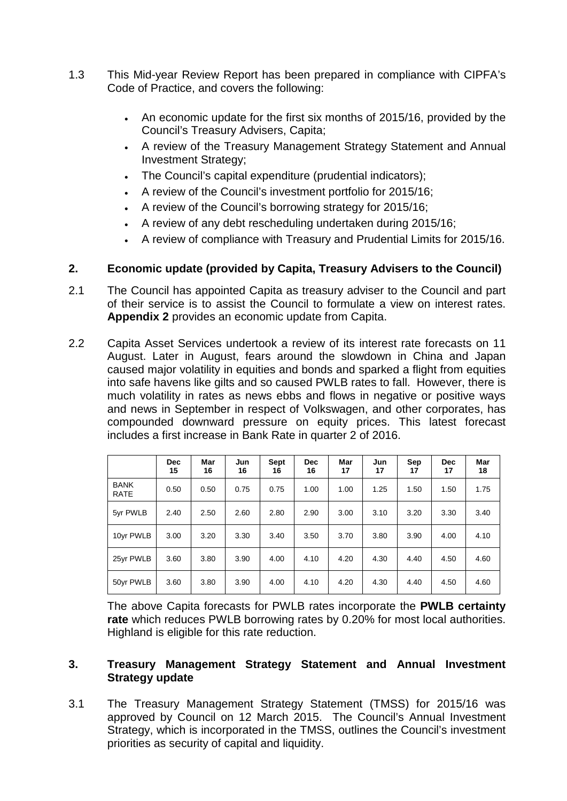- 1.3 This Mid-year Review Report has been prepared in compliance with CIPFA's Code of Practice, and covers the following:
	- An economic update for the first six months of 2015/16, provided by the Council's Treasury Advisers, Capita;
	- A review of the Treasury Management Strategy Statement and Annual Investment Strategy;
	- The Council's capital expenditure (prudential indicators);
	- A review of the Council's investment portfolio for 2015/16;
	- A review of the Council's borrowing strategy for 2015/16;
	- A review of any debt rescheduling undertaken during 2015/16;
	- A review of compliance with Treasury and Prudential Limits for 2015/16.

## **2. Economic update (provided by Capita, Treasury Advisers to the Council)**

- 2.1 The Council has appointed Capita as treasury adviser to the Council and part of their service is to assist the Council to formulate a view on interest rates. **Appendix 2** provides an economic update from Capita.
- 2.2 Capita Asset Services undertook a review of its interest rate forecasts on 11 August. Later in August, fears around the slowdown in China and Japan caused major volatility in equities and bonds and sparked a flight from equities into safe havens like gilts and so caused PWLB rates to fall. However, there is much volatility in rates as news ebbs and flows in negative or positive ways and news in September in respect of Volkswagen, and other corporates, has compounded downward pressure on equity prices. This latest forecast includes a first increase in Bank Rate in quarter 2 of 2016.

|                            | <b>Dec</b><br>15 | Mar<br>16 | Jun<br>16 | <b>Sept</b><br>16 | <b>Dec</b><br>16 | Mar<br>17 | Jun<br>17 | Sep<br>17 | <b>Dec</b><br>17 | Mar<br>18 |
|----------------------------|------------------|-----------|-----------|-------------------|------------------|-----------|-----------|-----------|------------------|-----------|
| <b>BANK</b><br><b>RATE</b> | 0.50             | 0.50      | 0.75      | 0.75              | 1.00             | 1.00      | 1.25      | 1.50      | 1.50             | 1.75      |
| 5yr PWLB                   | 2.40             | 2.50      | 2.60      | 2.80              | 2.90             | 3.00      | 3.10      | 3.20      | 3.30             | 3.40      |
| 10yr PWLB                  | 3.00             | 3.20      | 3.30      | 3.40              | 3.50             | 3.70      | 3.80      | 3.90      | 4.00             | 4.10      |
| 25yr PWLB                  | 3.60             | 3.80      | 3.90      | 4.00              | 4.10             | 4.20      | 4.30      | 4.40      | 4.50             | 4.60      |
| 50yr PWLB                  | 3.60             | 3.80      | 3.90      | 4.00              | 4.10             | 4.20      | 4.30      | 4.40      | 4.50             | 4.60      |

The above Capita forecasts for PWLB rates incorporate the **PWLB certainty rate** which reduces PWLB borrowing rates by 0.20% for most local authorities. Highland is eligible for this rate reduction.

# **3. Treasury Management Strategy Statement and Annual Investment Strategy update**

3.1 The Treasury Management Strategy Statement (TMSS) for 2015/16 was approved by Council on 12 March 2015. The Council's Annual Investment Strategy, which is incorporated in the TMSS, outlines the Council's investment priorities as security of capital and liquidity.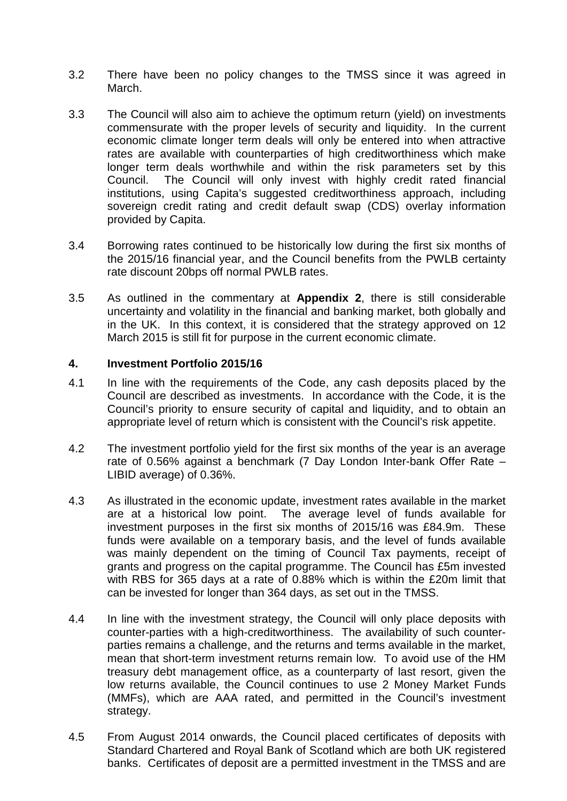- 3.2 There have been no policy changes to the TMSS since it was agreed in March.
- 3.3 The Council will also aim to achieve the optimum return (yield) on investments commensurate with the proper levels of security and liquidity. In the current economic climate longer term deals will only be entered into when attractive rates are available with counterparties of high creditworthiness which make longer term deals worthwhile and within the risk parameters set by this Council. The Council will only invest with highly credit rated financial institutions, using Capita's suggested creditworthiness approach, including sovereign credit rating and credit default swap (CDS) overlay information provided by Capita.
- 3.4 Borrowing rates continued to be historically low during the first six months of the 2015/16 financial year, and the Council benefits from the PWLB certainty rate discount 20bps off normal PWLB rates.
- 3.5 As outlined in the commentary at **Appendix 2**, there is still considerable uncertainty and volatility in the financial and banking market, both globally and in the UK. In this context, it is considered that the strategy approved on 12 March 2015 is still fit for purpose in the current economic climate.

### **4. Investment Portfolio 2015/16**

- 4.1 In line with the requirements of the Code, any cash deposits placed by the Council are described as investments. In accordance with the Code, it is the Council's priority to ensure security of capital and liquidity, and to obtain an appropriate level of return which is consistent with the Council's risk appetite.
- 4.2 The investment portfolio yield for the first six months of the year is an average rate of 0.56% against a benchmark (7 Day London Inter-bank Offer Rate – LIBID average) of 0.36%.
- 4.3 As illustrated in the economic update, investment rates available in the market are at a historical low point. The average level of funds available for investment purposes in the first six months of 2015/16 was £84.9m.These funds were available on a temporary basis, and the level of funds available was mainly dependent on the timing of Council Tax payments, receipt of grants and progress on the capital programme. The Council has £5m invested with RBS for 365 days at a rate of 0.88% which is within the £20m limit that can be invested for longer than 364 days, as set out in the TMSS.
- 4.4 In line with the investment strategy, the Council will only place deposits with counter-parties with a high-creditworthiness. The availability of such counterparties remains a challenge, and the returns and terms available in the market, mean that short-term investment returns remain low. To avoid use of the HM treasury debt management office, as a counterparty of last resort, given the low returns available, the Council continues to use 2 Money Market Funds (MMFs), which are AAA rated, and permitted in the Council's investment strategy.
- 4.5 From August 2014 onwards, the Council placed certificates of deposits with Standard Chartered and Royal Bank of Scotland which are both UK registered banks. Certificates of deposit are a permitted investment in the TMSS and are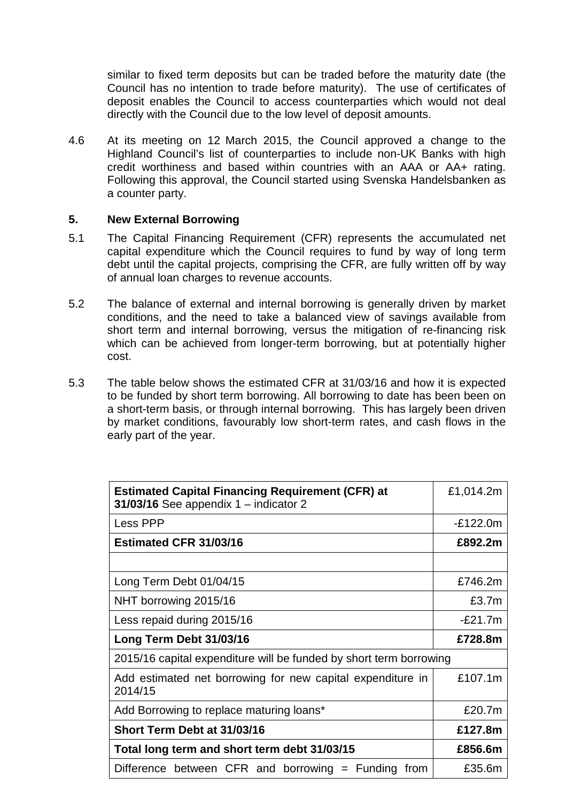similar to fixed term deposits but can be traded before the maturity date (the Council has no intention to trade before maturity). The use of certificates of deposit enables the Council to access counterparties which would not deal directly with the Council due to the low level of deposit amounts.

4.6 At its meeting on 12 March 2015, the Council approved a change to the Highland Council's list of counterparties to include non-UK Banks with high credit worthiness and based within countries with an AAA or AA+ rating. Following this approval, the Council started using Svenska Handelsbanken as a counter party.

## **5. New External Borrowing**

- 5.1 The Capital Financing Requirement (CFR) represents the accumulated net capital expenditure which the Council requires to fund by way of long term debt until the capital projects, comprising the CFR, are fully written off by way of annual loan charges to revenue accounts.
- 5.2 The balance of external and internal borrowing is generally driven by market conditions, and the need to take a balanced view of savings available from short term and internal borrowing, versus the mitigation of re-financing risk which can be achieved from longer-term borrowing, but at potentially higher cost.
- 5.3 The table below shows the estimated CFR at 31/03/16 and how it is expected to be funded by short term borrowing. All borrowing to date has been been on a short-term basis, or through internal borrowing. This has largely been driven by market conditions, favourably low short-term rates, and cash flows in the early part of the year.

| <b>Estimated Capital Financing Requirement (CFR) at</b><br>31/03/16 See appendix $1$ – indicator 2 | £1,014.2m  |
|----------------------------------------------------------------------------------------------------|------------|
| Less PPP                                                                                           | $-E122.0m$ |
| <b>Estimated CFR 31/03/16</b>                                                                      | £892.2m    |
|                                                                                                    |            |
| Long Term Debt 01/04/15                                                                            | £746.2m    |
| NHT borrowing 2015/16                                                                              | £3.7m      |
| Less repaid during 2015/16                                                                         | $-E21.7m$  |
| Long Term Debt 31/03/16                                                                            | £728.8m    |
| 2015/16 capital expenditure will be funded by short term borrowing                                 |            |
| Add estimated net borrowing for new capital expenditure in<br>2014/15                              | £107.1m    |
| Add Borrowing to replace maturing loans*                                                           | £20.7m     |
| Short Term Debt at 31/03/16                                                                        | £127.8m    |
| Total long term and short term debt 31/03/15                                                       | £856.6m    |
| Difference between CFR and borrowing $=$ Funding from                                              | £35.6m     |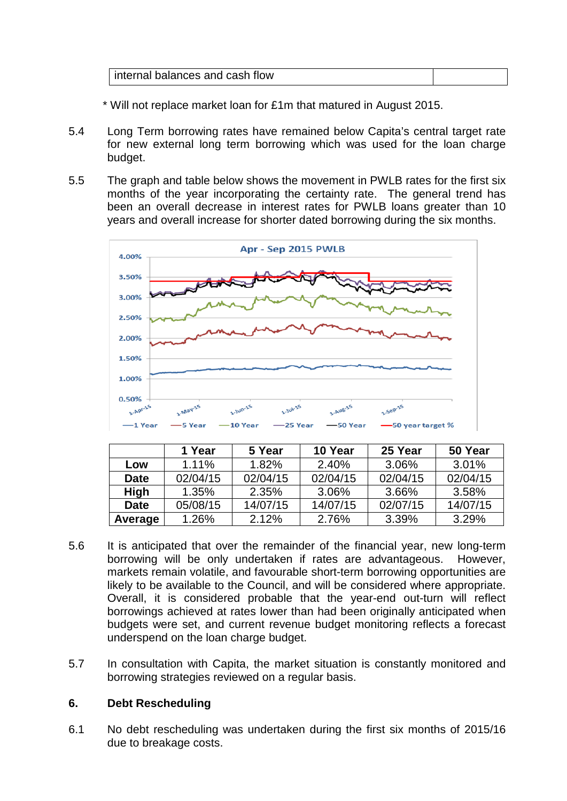| internal balances and cash flow |  |
|---------------------------------|--|
|                                 |  |

- \* Will not replace market loan for £1m that matured in August 2015.
- 5.4 Long Term borrowing rates have remained below Capita's central target rate for new external long term borrowing which was used for the loan charge budget.
- 5.5 The graph and table below shows the movement in PWLB rates for the first six months of the year incorporating the certainty rate. The general trend has been an overall decrease in interest rates for PWLB loans greater than 10 years and overall increase for shorter dated borrowing during the six months.



|             | 1 Year   | 5 Year   | 10 Year  | 25 Year  | 50 Year  |
|-------------|----------|----------|----------|----------|----------|
| Low         | 1.11%    | 1.82%    | 2.40%    | 3.06%    | 3.01%    |
| <b>Date</b> | 02/04/15 | 02/04/15 | 02/04/15 | 02/04/15 | 02/04/15 |
| <b>High</b> | $1.35\%$ | 2.35%    | 3.06%    | 3.66%    | 3.58%    |
| <b>Date</b> | 05/08/15 | 14/07/15 | 14/07/15 | 02/07/15 | 14/07/15 |
| Average     | 1.26%    | 2.12%    | 2.76%    | 3.39%    | 3.29%    |

- 5.6 It is anticipated that over the remainder of the financial year, new long-term borrowing will be only undertaken if rates are advantageous. However, markets remain volatile, and favourable short-term borrowing opportunities are likely to be available to the Council, and will be considered where appropriate. Overall, it is considered probable that the year-end out-turn will reflect borrowings achieved at rates lower than had been originally anticipated when budgets were set, and current revenue budget monitoring reflects a forecast underspend on the loan charge budget.
- 5.7 In consultation with Capita, the market situation is constantly monitored and borrowing strategies reviewed on a regular basis.

#### **6. Debt Rescheduling**

6.1 No debt rescheduling was undertaken during the first six months of 2015/16 due to breakage costs.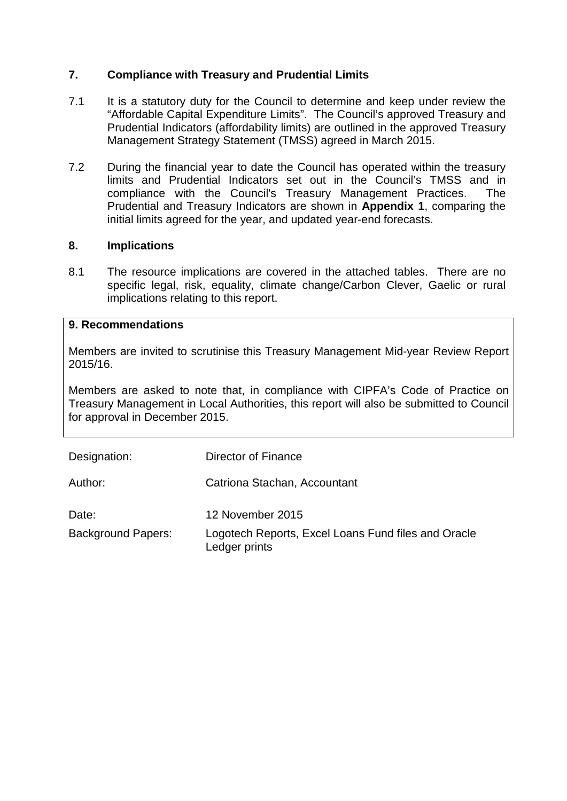# **7. Compliance with Treasury and Prudential Limits**

- 7.1 It is a statutory duty for the Council to determine and keep under review the "Affordable Capital Expenditure Limits". The Council's approved Treasury and Prudential Indicators (affordability limits) are outlined in the approved Treasury Management Strategy Statement (TMSS) agreed in March 2015.
- 7.2 During the financial year to date the Council has operated within the treasury limits and Prudential Indicators set out in the Council's TMSS and in compliance with the Council's Treasury Management Practices. The Prudential and Treasury Indicators are shown in **Appendix 1**, comparing the initial limits agreed for the year, and updated year-end forecasts.

## **8. Implications**

8.1 The resource implications are covered in the attached tables. There are no specific legal, risk, equality, climate change/Carbon Clever, Gaelic or rural implications relating to this report.

### **9. Recommendations**

Members are invited to scrutinise this Treasury Management Mid-year Review Report 2015/16.

Members are asked to note that, in compliance with CIPFA's Code of Practice on Treasury Management in Local Authorities, this report will also be submitted to Council for approval in December 2015.

| Designation:       | Director of Finance                                                  |
|--------------------|----------------------------------------------------------------------|
| Author:            | Catriona Stachan, Accountant                                         |
| Date:              | 12 November 2015                                                     |
| Background Papers: | Logotech Reports, Excel Loans Fund files and Oracle<br>Ledger prints |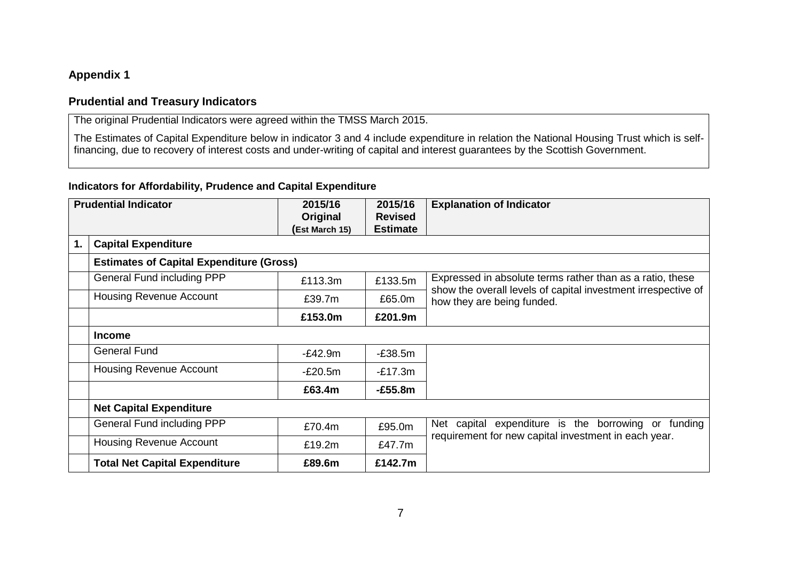# **Appendix 1**

### **Prudential and Treasury Indicators**

The original Prudential Indicators were agreed within the TMSS March 2015.

The Estimates of Capital Expenditure below in indicator 3 and 4 include expenditure in relation the National Housing Trust which is selffinancing, due to recovery of interest costs and under-writing of capital and interest guarantees by the Scottish Government.

# **Indicators for Affordability, Prudence and Capital Expenditure**

| <b>Prudential Indicator</b> |                                                 | 2015/16<br>Original | 2015/16<br><b>Revised</b> | <b>Explanation of Indicator</b>                                                             |
|-----------------------------|-------------------------------------------------|---------------------|---------------------------|---------------------------------------------------------------------------------------------|
|                             |                                                 | (Est March 15)      | <b>Estimate</b>           |                                                                                             |
| 1.                          | <b>Capital Expenditure</b>                      |                     |                           |                                                                                             |
|                             | <b>Estimates of Capital Expenditure (Gross)</b> |                     |                           |                                                                                             |
|                             | <b>General Fund including PPP</b>               | £113.3m             | £133.5m                   | Expressed in absolute terms rather than as a ratio, these                                   |
|                             | <b>Housing Revenue Account</b>                  | £39.7m              | £65.0m                    | show the overall levels of capital investment irrespective of<br>how they are being funded. |
|                             |                                                 | £153.0m             | £201.9m                   |                                                                                             |
|                             | <b>Income</b>                                   |                     |                           |                                                                                             |
|                             | <b>General Fund</b>                             | $-E42.9m$           | $-E38.5m$                 |                                                                                             |
|                             | <b>Housing Revenue Account</b>                  | $-E20.5m$           | $-E17.3m$                 |                                                                                             |
|                             |                                                 | £63.4m              | $-E55.8m$                 |                                                                                             |
|                             | <b>Net Capital Expenditure</b>                  |                     |                           |                                                                                             |
|                             | <b>General Fund including PPP</b>               | £70.4m              | £95.0m                    | Net capital expenditure is the borrowing or<br>funding                                      |
|                             | <b>Housing Revenue Account</b>                  | £19.2m              | £47.7m                    | requirement for new capital investment in each year.                                        |
|                             | <b>Total Net Capital Expenditure</b>            | £89.6m              | £142.7m                   |                                                                                             |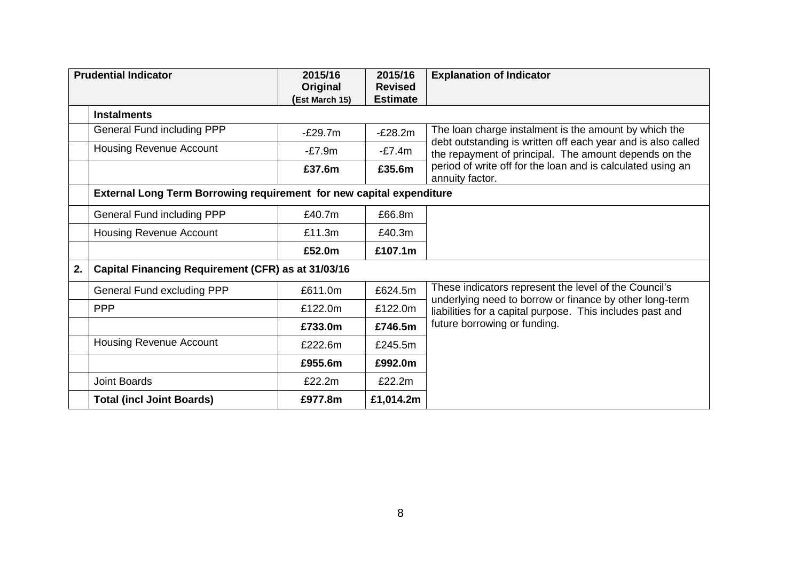|    | <b>Prudential Indicator</b>                                                 | 2015/16<br>Original  | 2015/16<br><b>Revised</b> | <b>Explanation of Indicator</b>                                                                                       |
|----|-----------------------------------------------------------------------------|----------------------|---------------------------|-----------------------------------------------------------------------------------------------------------------------|
|    |                                                                             | <b>Est March 15)</b> | <b>Estimate</b>           |                                                                                                                       |
|    | <b>Instalments</b>                                                          |                      |                           |                                                                                                                       |
|    | <b>General Fund including PPP</b>                                           | $-E29.7m$            | $-E28.2m$                 | The loan charge instalment is the amount by which the<br>debt outstanding is written off each year and is also called |
|    | <b>Housing Revenue Account</b>                                              | $-E7.9m$             | $-E7.4m$                  | the repayment of principal. The amount depends on the                                                                 |
|    |                                                                             | £37.6m               | £35.6m                    | period of write off for the loan and is calculated using an<br>annuity factor.                                        |
|    | <b>External Long Term Borrowing requirement for new capital expenditure</b> |                      |                           |                                                                                                                       |
|    | General Fund including PPP                                                  | £40.7m               | £66.8m                    |                                                                                                                       |
|    | <b>Housing Revenue Account</b>                                              | £11.3m               | £40.3m                    |                                                                                                                       |
|    |                                                                             | £52.0m               | £107.1m                   |                                                                                                                       |
| 2. | Capital Financing Requirement (CFR) as at 31/03/16                          |                      |                           |                                                                                                                       |
|    | <b>General Fund excluding PPP</b>                                           | £611.0m              | £624.5m                   | These indicators represent the level of the Council's                                                                 |
|    | <b>PPP</b>                                                                  | £122.0m              | £122.0m                   | underlying need to borrow or finance by other long-term<br>liabilities for a capital purpose. This includes past and  |
|    |                                                                             | £733.0m              | £746.5m                   | future borrowing or funding.                                                                                          |
|    | <b>Housing Revenue Account</b>                                              | £222.6m              | £245.5m                   |                                                                                                                       |
|    |                                                                             | £955.6m              | £992.0m                   |                                                                                                                       |
|    | <b>Joint Boards</b>                                                         | £22.2m               | £22.2m                    |                                                                                                                       |
|    | <b>Total (incl Joint Boards)</b>                                            | £977.8m              | £1,014.2m                 |                                                                                                                       |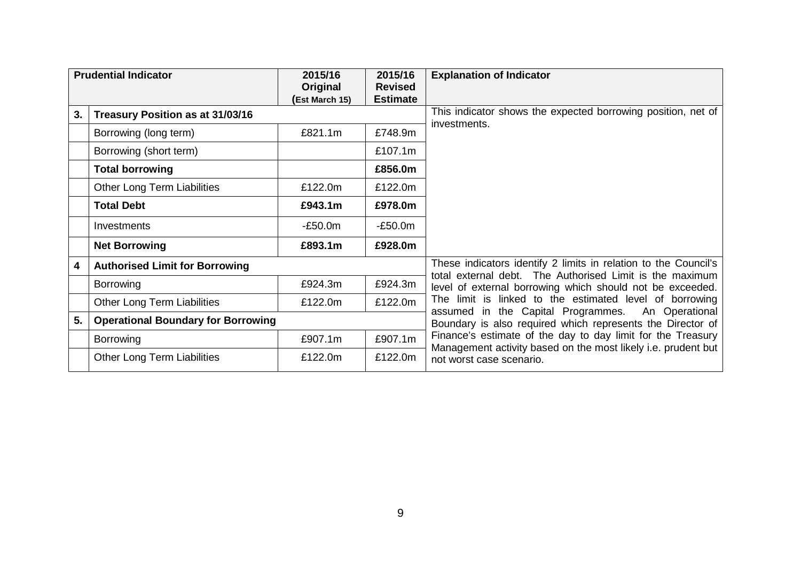| <b>Prudential Indicator</b> |                                           | 2015/16<br>Original | 2015/16<br><b>Revised</b> | <b>Explanation of Indicator</b>                                                                                              |
|-----------------------------|-------------------------------------------|---------------------|---------------------------|------------------------------------------------------------------------------------------------------------------------------|
|                             |                                           | (Est March 15)      | <b>Estimate</b>           |                                                                                                                              |
| 3.                          | Treasury Position as at 31/03/16          |                     |                           | This indicator shows the expected borrowing position, net of                                                                 |
|                             | Borrowing (long term)                     | £821.1m             | £748.9m                   | investments.                                                                                                                 |
|                             | Borrowing (short term)                    |                     | £107.1m                   |                                                                                                                              |
|                             | <b>Total borrowing</b>                    |                     | £856.0m                   |                                                                                                                              |
|                             | Other Long Term Liabilities               | £122.0m             | £122.0m                   |                                                                                                                              |
|                             | <b>Total Debt</b>                         | £943.1m             | £978.0m                   |                                                                                                                              |
|                             | Investments                               | $-E50.0m$           | $-E50.0m$                 |                                                                                                                              |
|                             | <b>Net Borrowing</b>                      | £893.1m             | £928.0m                   |                                                                                                                              |
| 4                           | <b>Authorised Limit for Borrowing</b>     |                     |                           | These indicators identify 2 limits in relation to the Council's<br>total external debt. The Authorised Limit is the maximum  |
|                             | <b>Borrowing</b>                          | £924.3m             | £924.3m                   | level of external borrowing which should not be exceeded.                                                                    |
|                             | Other Long Term Liabilities               | £122.0m             | £122.0m                   | The limit is linked to the estimated level of borrowing<br>assumed in the Capital Programmes.<br>An Operational              |
| 5.                          | <b>Operational Boundary for Borrowing</b> |                     |                           | Boundary is also required which represents the Director of                                                                   |
|                             | <b>Borrowing</b>                          | £907.1m             | £907.1m                   | Finance's estimate of the day to day limit for the Treasury<br>Management activity based on the most likely i.e. prudent but |
|                             | Other Long Term Liabilities               | £122.0m             | £122.0m                   | not worst case scenario.                                                                                                     |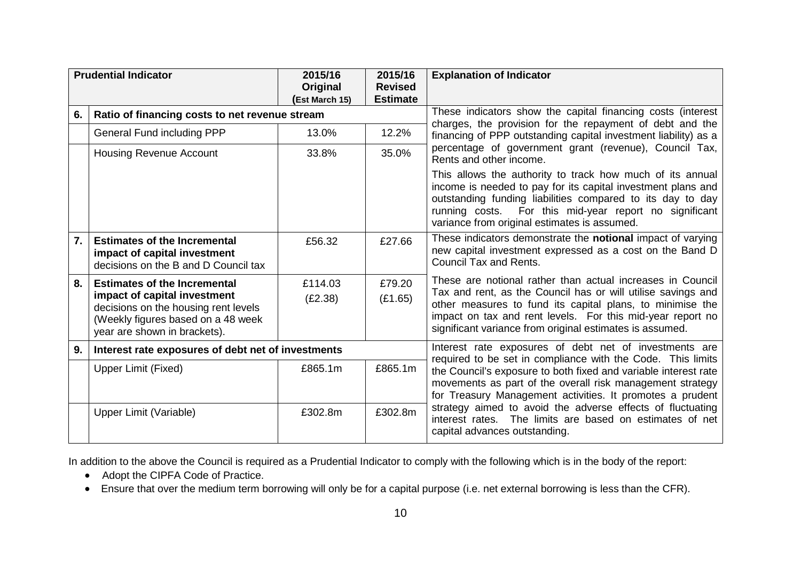|                  | <b>Prudential Indicator</b>                                                                                                                | 2015/16<br>Original | 2015/16<br><b>Revised</b>                              | <b>Explanation of Indicator</b>                                                                                                                                                                                                                                                                   |
|------------------|--------------------------------------------------------------------------------------------------------------------------------------------|---------------------|--------------------------------------------------------|---------------------------------------------------------------------------------------------------------------------------------------------------------------------------------------------------------------------------------------------------------------------------------------------------|
|                  |                                                                                                                                            | (Est March 15)      | <b>Estimate</b>                                        |                                                                                                                                                                                                                                                                                                   |
| 6.               | Ratio of financing costs to net revenue stream                                                                                             |                     |                                                        | These indicators show the capital financing costs (interest                                                                                                                                                                                                                                       |
|                  | General Fund including PPP                                                                                                                 | 13.0%               | 12.2%                                                  | charges, the provision for the repayment of debt and the<br>financing of PPP outstanding capital investment liability) as a                                                                                                                                                                       |
|                  | <b>Housing Revenue Account</b>                                                                                                             | 33.8%               | 35.0%                                                  | percentage of government grant (revenue), Council Tax,<br>Rents and other income.                                                                                                                                                                                                                 |
|                  |                                                                                                                                            |                     |                                                        | This allows the authority to track how much of its annual<br>income is needed to pay for its capital investment plans and<br>outstanding funding liabilities compared to its day to day<br>running costs. For this mid-year report no significant<br>variance from original estimates is assumed. |
| $\overline{7}$ . | <b>Estimates of the Incremental</b><br>impact of capital investment<br>decisions on the B and D Council tax                                | £56.32              | £27.66                                                 | These indicators demonstrate the notional impact of varying<br>new capital investment expressed as a cost on the Band D<br><b>Council Tax and Rents.</b>                                                                                                                                          |
| 8.               | <b>Estimates of the Incremental</b>                                                                                                        | £114.03             | £79.20                                                 | These are notional rather than actual increases in Council                                                                                                                                                                                                                                        |
|                  | impact of capital investment<br>decisions on the housing rent levels<br>(Weekly figures based on a 48 week<br>year are shown in brackets). | (E2.38)             | (E1.65)                                                | Tax and rent, as the Council has or will utilise savings and<br>other measures to fund its capital plans, to minimise the<br>impact on tax and rent levels. For this mid-year report no<br>significant variance from original estimates is assumed.                                               |
| 9.               | Interest rate exposures of debt net of investments                                                                                         |                     | Interest rate exposures of debt net of investments are |                                                                                                                                                                                                                                                                                                   |
|                  | Upper Limit (Fixed)                                                                                                                        | £865.1m             | £865.1m                                                | required to be set in compliance with the Code. This limits<br>the Council's exposure to both fixed and variable interest rate<br>movements as part of the overall risk management strategy<br>for Treasury Management activities. It promotes a prudent                                          |
|                  | Upper Limit (Variable)                                                                                                                     | £302.8m             | £302.8m                                                | strategy aimed to avoid the adverse effects of fluctuating<br>interest rates. The limits are based on estimates of net<br>capital advances outstanding.                                                                                                                                           |

In addition to the above the Council is required as a Prudential Indicator to comply with the following which is in the body of the report:

- Adopt the CIPFA Code of Practice.
- Ensure that over the medium term borrowing will only be for a capital purpose (i.e. net external borrowing is less than the CFR).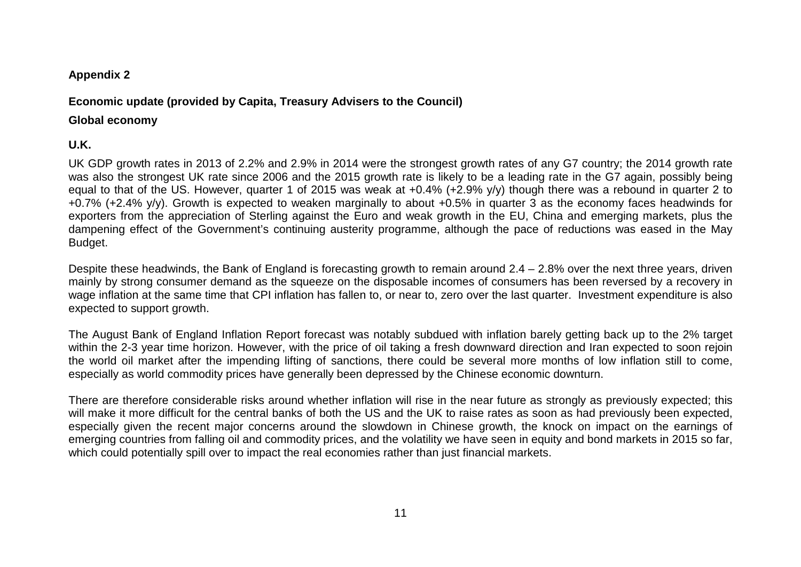### **Appendix 2**

# **Economic update (provided by Capita, Treasury Advisers to the Council)**

## **Global economy**

# **U.K.**

UK GDP growth rates in 2013 of 2.2% and 2.9% in 2014 were the strongest growth rates of any G7 country; the 2014 growth rate was also the strongest UK rate since 2006 and the 2015 growth rate is likely to be a leading rate in the G7 again, possibly being equal to that of the US. However, quarter 1 of 2015 was weak at +0.4% (+2.9% y/y) though there was a rebound in quarter 2 to +0.7% (+2.4% y/y). Growth is expected to weaken marginally to about +0.5% in quarter 3 as the economy faces headwinds for exporters from the appreciation of Sterling against the Euro and weak growth in the EU, China and emerging markets, plus the dampening effect of the Government's continuing austerity programme, although the pace of reductions was eased in the May Budget.

Despite these headwinds, the Bank of England is forecasting growth to remain around 2.4 – 2.8% over the next three years, driven mainly by strong consumer demand as the squeeze on the disposable incomes of consumers has been reversed by a recovery in wage inflation at the same time that CPI inflation has fallen to, or near to, zero over the last quarter. Investment expenditure is also expected to support growth.

The August Bank of England Inflation Report forecast was notably subdued with inflation barely getting back up to the 2% target within the 2-3 year time horizon. However, with the price of oil taking a fresh downward direction and Iran expected to soon rejoin the world oil market after the impending lifting of sanctions, there could be several more months of low inflation still to come, especially as world commodity prices have generally been depressed by the Chinese economic downturn.

There are therefore considerable risks around whether inflation will rise in the near future as strongly as previously expected; this will make it more difficult for the central banks of both the US and the UK to raise rates as soon as had previously been expected, especially given the recent major concerns around the slowdown in Chinese growth, the knock on impact on the earnings of emerging countries from falling oil and commodity prices, and the volatility we have seen in equity and bond markets in 2015 so far, which could potentially spill over to impact the real economies rather than just financial markets.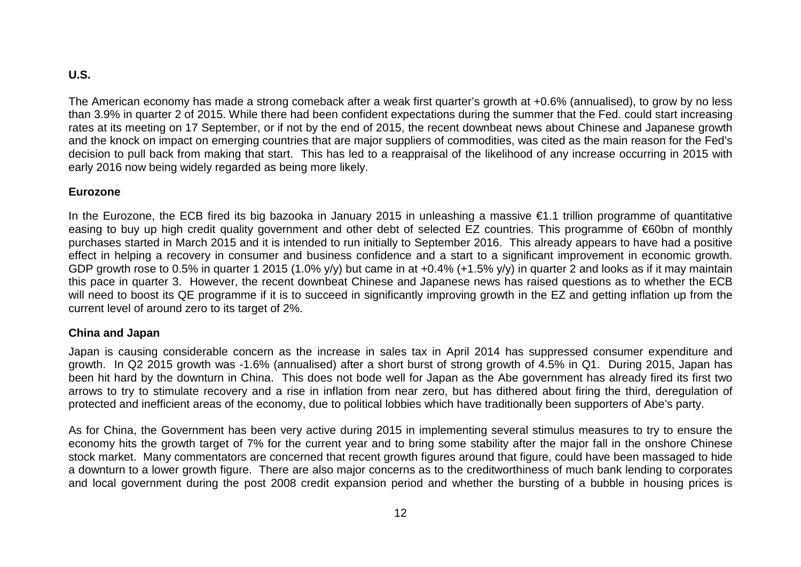# **U.S.**

The American economy has made a strong comeback after a weak first quarter's growth at +0.6% (annualised), to grow by no less than 3.9% in quarter 2 of 2015. While there had been confident expectations during the summer that the Fed. could start increasing rates at its meeting on 17 September, or if not by the end of 2015, the recent downbeat news about Chinese and Japanese growth and the knock on impact on emerging countries that are major suppliers of commodities, was cited as the main reason for the Fed's decision to pull back from making that start. This has led to a reappraisal of the likelihood of any increase occurring in 2015 with early 2016 now being widely regarded as being more likely.

#### **Eurozone**

In the Eurozone, the ECB fired its big bazooka in January 2015 in unleashing a massive €1.1 trillion programme of quantitative easing to buy up high credit quality government and other debt of selected EZ countries. This programme of €60bn of monthly purchases started in March 2015 and it is intended to run initially to September 2016. This already appears to have had a positive effect in helping a recovery in consumer and business confidence and a start to a significant improvement in economic growth. GDP growth rose to 0.5% in quarter 1 2015 (1.0% y/y) but came in at +0.4% (+1.5% y/y) in quarter 2 and looks as if it may maintain this pace in quarter 3. However, the recent downbeat Chinese and Japanese news has raised questions as to whether the ECB will need to boost its QE programme if it is to succeed in significantly improving growth in the EZ and getting inflation up from the current level of around zero to its target of 2%.

#### **China and Japan**

Japan is causing considerable concern as the increase in sales tax in April 2014 has suppressed consumer expenditure and growth. In Q2 2015 growth was -1.6% (annualised) after a short burst of strong growth of 4.5% in Q1. During 2015, Japan has been hit hard by the downturn in China. This does not bode well for Japan as the Abe government has already fired its first two arrows to try to stimulate recovery and a rise in inflation from near zero, but has dithered about firing the third, deregulation of protected and inefficient areas of the economy, due to political lobbies which have traditionally been supporters of Abe's party.

As for China, the Government has been very active during 2015 in implementing several stimulus measures to try to ensure the economy hits the growth target of 7% for the current year and to bring some stability after the major fall in the onshore Chinese stock market. Many commentators are concerned that recent growth figures around that figure, could have been massaged to hide a downturn to a lower growth figure. There are also major concerns as to the creditworthiness of much bank lending to corporates and local government during the post 2008 credit expansion period and whether the bursting of a bubble in housing prices is